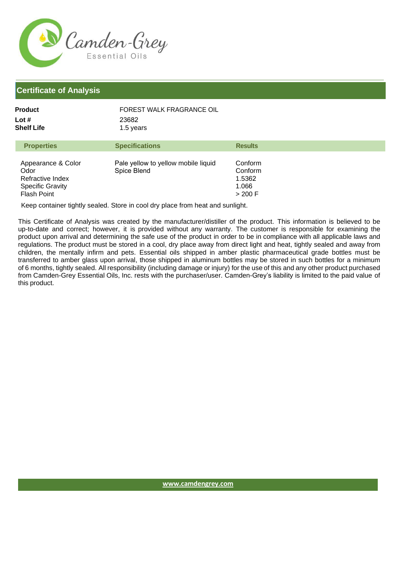

## **Certificate of Analysis**

| Product    | FOREST WALK FRAGRANCE OIL |
|------------|---------------------------|
| Lot #      | 23682<br>1.5 years        |
| Shelf Life |                           |

| <b>Properties</b>                                                                               | <b>Specifications</b>                              | <b>Results</b>                                     |
|-------------------------------------------------------------------------------------------------|----------------------------------------------------|----------------------------------------------------|
| Appearance & Color<br>Odor<br>Refractive Index<br><b>Specific Gravity</b><br><b>Flash Point</b> | Pale yellow to yellow mobile liquid<br>Spice Blend | Conform<br>Conform<br>1.5362<br>1.066<br>$>$ 200 F |

Keep container tightly sealed. Store in cool dry place from heat and sunlight.

This Certificate of Analysis was created by the manufacturer/distiller of the product. This information is believed to be up-to-date and correct; however, it is provided without any warranty. The customer is responsible for examining the product upon arrival and determining the safe use of the product in order to be in compliance with all applicable laws and regulations. The product must be stored in a cool, dry place away from direct light and heat, tightly sealed and away from children, the mentally infirm and pets. Essential oils shipped in amber plastic pharmaceutical grade bottles must be transferred to amber glass upon arrival, those shipped in aluminum bottles may be stored in such bottles for a minimum of 6 months, tightly sealed. All responsibility (including damage or injury) for the use of this and any other product purchased from Camden-Grey Essential Oils, Inc. rests with the purchaser/user. Camden-Grey's liability is limited to the paid value of this product.